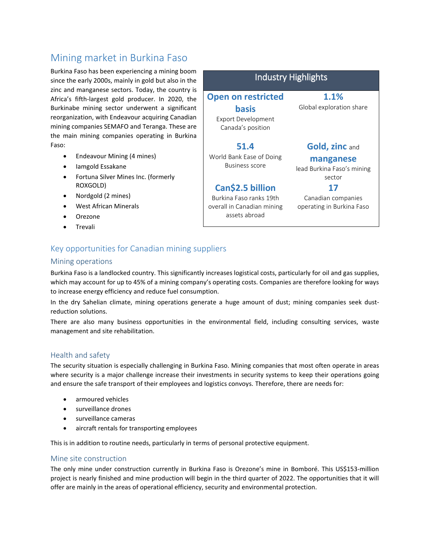# Mining market in Burkina Faso

Burkina Faso has been experiencing a mining boom since the early 2000s, mainly in gold but also in the zinc and manganese sectors. Today, the country is Africa's fifth-largest gold producer. In 2020, the Burkinabe mining sector underwent a significant reorganization, with Endeavour acquiring Canadian mining companies SEMAFO and Teranga. These are the main mining companies operating in Burkina Faso:

- Endeavour Mining (4 mines)
- Iamgold Essakane
- Fortuna Silver Mines Inc. (formerly ROXGOLD)
- Nordgold (2 mines)
- West African Minerals
- Orezone
- Trevali

#### Industry Highlights **Open on restricted basis** Export Development Canada's position **1.1%** Global exploration share **51.4** World Bank Ease of Doing Business score **Gold, zinc** and **manganese** lead Burkina Faso's mining sector **Can\$2.5 billion** Burkina Faso ranks 19th overall in Canadian mining assets abroad **17** Canadian companies operating in Burkina Faso

## Key opportunities for Canadian mining suppliers

#### Mining operations

Burkina Faso is a landlocked country. This significantly increases logistical costs, particularly for oil and gas supplies, which may account for up to 45% of a mining company's operating costs. Companies are therefore looking for ways to increase energy efficiency and reduce fuel consumption.

In the dry Sahelian climate, mining operations generate a huge amount of dust; mining companies seek dustreduction solutions.

There are also many business opportunities in the environmental field, including consulting services, waste management and site rehabilitation.

#### Health and safety

The security situation is especially challenging in Burkina Faso. Mining companies that most often operate in areas where security is a major challenge increase their investments in security systems to keep their operations going and ensure the safe transport of their employees and logistics convoys. Therefore, there are needs for:

- armoured vehicles
- surveillance drones
- surveillance cameras
- aircraft rentals for transporting employees

This is in addition to routine needs, particularly in terms of personal protective equipment.

#### Mine site construction

The only mine under construction currently in Burkina Faso is Orezone's mine in Bomboré. This US\$153-million project is nearly finished and mine production will begin in the third quarter of 2022. The opportunities that it will offer are mainly in the areas of operational efficiency, security and environmental protection.